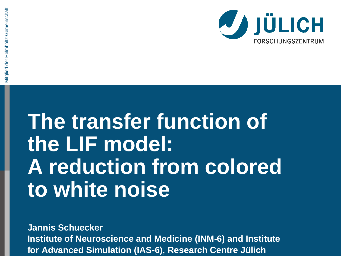# **The transfer function of the LIF model: A reduction from colored to white noise**

**Jannis Schuecker**

**Institute of Neuroscience and Medicine (INM-6) and Institute for Advanced Simulation (IAS-6), Research Centre Jülich**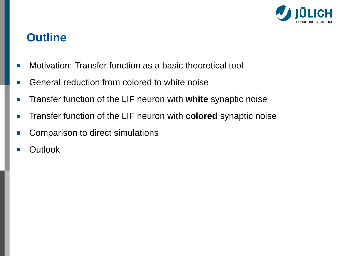

# **Outline**

- Motivation: Transfer function as a basic theoretical tool T.
- General reduction from colored to white noise П
- Transfer function of the LIF neuron with **white** synaptic noise п
- $\overline{\phantom{a}}$ Transfer function of the LIF neuron with **colored** synaptic noise
- Comparison to direct simulations  $\overline{\phantom{a}}$
- **Outlook**  $\overline{\phantom{a}}$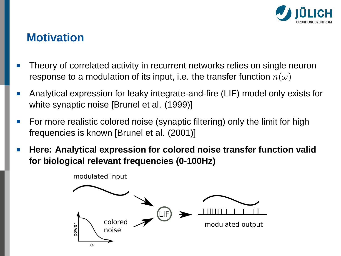

# **Motivation**

- Theory of correlated activity in recurrent networks relies on single neuron response to a modulation of its input, i.e. the transfer function  $n(\omega)$
- Analytical expression for leaky integrate-and-fire (LIF) model only exists for m. white synaptic noise [Brunel et al. (1999)]
- For more realistic colored noise (synaptic filtering) only the limit for high П frequencies is known [Brunel et al. (2001)]
- **Here: Analytical expression for colored noise transfer function valid** П **for biological relevant frequencies (0-100Hz)**

modulated input

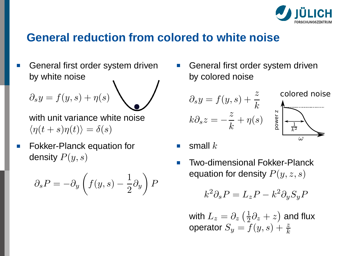

#### **General reduction from colored to white noise**

General first order system driven by white noise

$$
\partial_s y = f(y, s) + \eta(s)
$$

with unit variance white noise  $\langle \eta(t + s) \eta(t) \rangle = \delta(s)$ 

Fokker-Planck equation for m. density  $P(y, s)$ 

$$
\partial_s P = -\partial_y \left( f(y, s) - \frac{1}{2} \partial_y \right) P
$$

General first order system driven by colored noise

$$
\partial_s y = f(y, s) + \frac{z}{k}
$$
  
\n
$$
k \partial_s z = -\frac{z}{k} + \eta(s)
$$
  
\n
$$
\sum_{\substack{\omega \text{ is odd} \\ \omega}}^{\text{colored noise}}
$$

- small  $k$
- Two-dimensional Fokker-Planck equation for density  $P(y, z, s)$

$$
k^2 \partial_s P = L_z P - k^2 \partial_y S_y P
$$

with  $L_z=\partial_z\left(\frac{1}{2}\partial_z+z\right)$  and flux operator  $S_y = f(y,s) + \frac{z}{k}$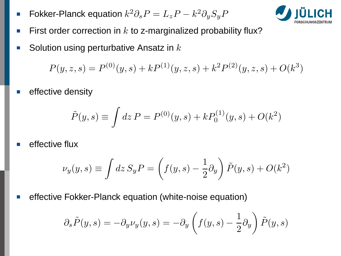Fokker-Planck equation  $k^2 \partial_s P = L_z P - k^2 \partial_y S_y P$ П



- First order correction in  $k$  to z-marginalized probability flux? П
- Solution using perturbative Ansatz in  $k$ П

 $P(y, z, s) = P^{(0)}(y, s) + k P^{(1)}(y, z, s) + k^2 P^{(2)}(y, z, s) + O(k^3)$ 

effective density

$$
\tilde{P}(y,s) \equiv \int dz P = P^{(0)}(y,s) + k P_0^{(1)}(y,s) + O(k^2)
$$

effective flux

$$
\nu_y(y,s) \equiv \int dz \, S_y P = \left(f(y,s)-\frac{1}{2}\partial_y\right) \tilde{P}(y,s) + O(k^2)
$$

effective Fokker-Planck equation (white-noise equation)

$$
\partial_s \tilde{P}(y,s) = -\partial_y \nu_y(y,s) = -\partial_y \left( f(y,s) - \frac{1}{2} \partial_y \right) \tilde{P}(y,s)
$$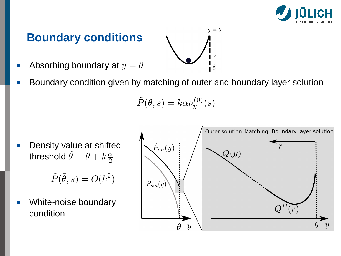

# **Boundary conditions**

- Absorbing boundary at  $y = \theta$
- Boundary condition given by matching of outer and boundary layer solution

$$
\tilde{P}(\theta, s) = k\alpha \nu_y^{(0)}(s)
$$

Density value at shifted П threshold  $\tilde{\theta} = \theta + k \frac{\alpha}{2}$ 

 $\tilde{P}(\tilde{\theta},s) = O(k^2)$ 

White-noise boundary condition



 $-\theta$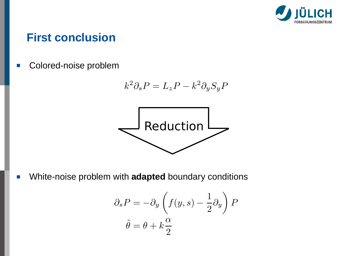

#### **First conclusion**

Colored-noise problem Ш

$$
k^2 \partial_s P = L_z P - k^2 \partial_y S_y P
$$



White-noise problem with **adapted** boundary conditions  $\blacksquare$ 

$$
\partial_s P = -\partial_y \left( f(y, s) - \frac{1}{2} \partial_y \right) P
$$

$$
\tilde{\theta} = \theta + k \frac{\alpha}{2}
$$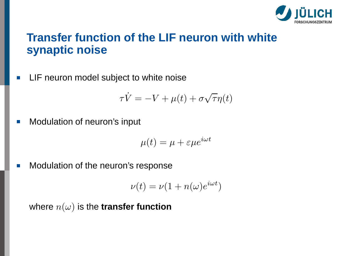

# **Transfer function of the LIF neuron with white synaptic noise**

LIF neuron model subject to white noise  $\overline{\phantom{a}}$ 

$$
\tau \dot{V} = -V + \mu(t) + \sigma \sqrt{\tau} \eta(t)
$$

Modulation of neuron's input П

$$
\mu(t) = \mu + \varepsilon \mu e^{i\omega t}
$$

Modulation of the neuron's response  $\overline{\phantom{a}}$ 

$$
\nu(t) = \nu(1 + n(\omega)e^{i\omega t})
$$

where  $n(\omega)$  is the **transfer function**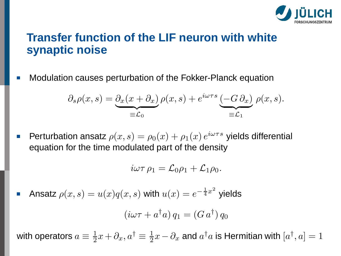

# **Transfer function of the LIF neuron with white synaptic noise**

Modulation causes perturbation of the Fokker-Planck equation T.

$$
\partial_s \rho(x,s) = \underbrace{\partial_x (x + \partial_x)}_{\equiv \mathcal{L}_0} \rho(x,s) + e^{i\omega \tau s} \underbrace{(-G \partial_x)}_{\equiv \mathcal{L}_1} \rho(x,s).
$$

Perturbation ansatz  $\rho(x,s)=\rho_0(x)+\rho_1(x)\,e^{i\omega\tau s}$  yields differential П equation for the time modulated part of the density

$$
i\omega\tau \rho_1 = \mathcal{L}_0 \rho_1 + \mathcal{L}_1 \rho_0.
$$

Ansatz  $\rho(x,s) = u(x)q(x,s)$  with  $u(x) = e^{-\frac{1}{4}x^2}$  yields  $\overline{\phantom{a}}$ 

$$
(i\omega\tau + a^{\dagger}a) q_1 = (G a^{\dagger}) q_0
$$

with operators  $a\equiv \frac{1}{2}x+\partial_x, a^\dagger\equiv \frac{1}{2}x-\partial_x$  and  $a^\dagger a$  is Hermitian with  $[a^\dagger,a]=1$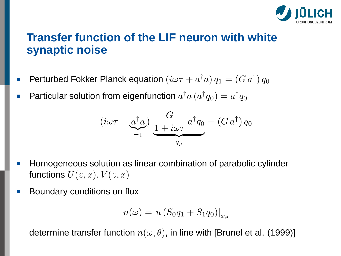

# **Transfer function of the LIF neuron with white synaptic noise**

- Perturbed Fokker Planck equation  $(i\omega\tau + a^{\dagger}a) q_1 = (G\, a^{\dagger}) q_0$ П
- Particular solution from eigenfunction  $a^{\dagger}a \, (a^{\dagger}q_{0}) = a^{\dagger}q_{0}$ П

$$
(i\omega\tau + \underbrace{a^{\dagger}a}_{=1}) \underbrace{\frac{G}{1+i\omega\tau} a^{\dagger}q_0}_{q_p} = (G a^{\dagger}) q_0
$$

- Homogeneous solution as linear combination of parabolic cylinder  $\Box$ functions  $U(z, x)$ ,  $V(z, x)$
- Boundary conditions on flux

$$
n(\omega) = u \left( S_0 q_1 + S_1 q_0 \right) \big|_{x_\theta}
$$

determine transfer function  $n(\omega, \theta)$ , in line with [Brunel et al. (1999)]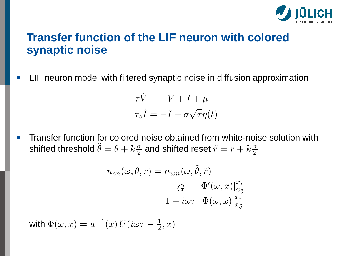

# **Transfer function of the LIF neuron with colored synaptic noise**

LIF neuron model with filtered synaptic noise in diffusion approximation П

$$
\tau \dot{V} = -V + I + \mu
$$

$$
\tau_s \dot{I} = -I + \sigma \sqrt{\tau} \eta(t)
$$

Transfer function for colored noise obtained from white-noise solution with  $\overline{\phantom{a}}$ shifted threshold  $\tilde{\theta} = \theta + k \frac{\alpha}{2}$  and shifted reset  $\tilde{r} = r + k \frac{\alpha}{2}$ 

$$
n_{cn}(\omega, \theta, r) = n_{wn}(\omega, \tilde{\theta}, \tilde{r})
$$
  
= 
$$
\frac{G}{1 + i\omega\tau} \frac{\Phi'(\omega, x)|_{x_{\tilde{\theta}}^{x_{\tilde{r}}}}^{x_{\tilde{r}}}}{\Phi(\omega, x)|_{x_{\tilde{\theta}}}^{x_{\tilde{r}}}}
$$

with  $\Phi(\omega, x) = u^{-1}(x) U(i\omega\tau - \frac{1}{2}, x)$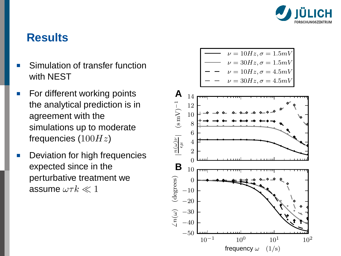

# **Results**

- Simulation of transfer function with NEST
- For different working points m. the analytical prediction is in agreement with the simulations up to moderate frequencies ( $100Hz$ )
- Deviation for high frequencies п expected since in the perturbative treatment we assume  $\omega \tau k \ll 1$

$$
\begin{array}{ccc}\n\overline{\phantom{0}} & \nu = 10Hz, \sigma = 1.5mV \\
\nu = 30Hz, \sigma = 1.5mV \\
\hline\n-\phantom{0} & \nu = 10Hz, \sigma = 4.5mV \\
\hline\n-\phantom{0} & \nu = 30Hz, \sigma = 4.5mV\n\end{array}
$$

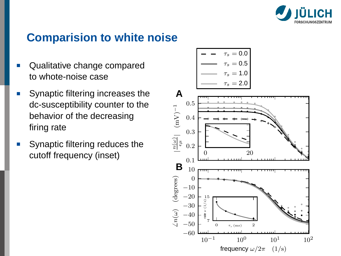

## **Comparision to white noise**

- Qualitative change compared to whote-noise case
- Synaptic filtering increases the **The State** dc-susceptibility counter to the behavior of the decreasing firing rate
- Synaptic filtering reduces the cutoff frequency (inset)  $\overline{a}$   $\overline{a}$   $\overline{a}$

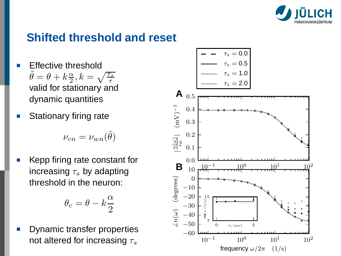

# **Shifted threshold and reset**

- Effective threshold  $\tilde{\theta} = \theta + k \frac{\alpha}{2}, k = \sqrt{\frac{\tau_s}{\tau}}$ valid for stationary and dynamic quantities
- Stationary firing rate

$$
\nu_{cn} = \nu_{wn}(\tilde{\theta})
$$

Kepp firing rate constant for increasing  $\tau_s$  by adapting threshold in the neuron:

$$
\theta_c=\theta-k\frac{\alpha}{2}
$$

Dynamic transfer properties not altered for increasing  $\tau_s$